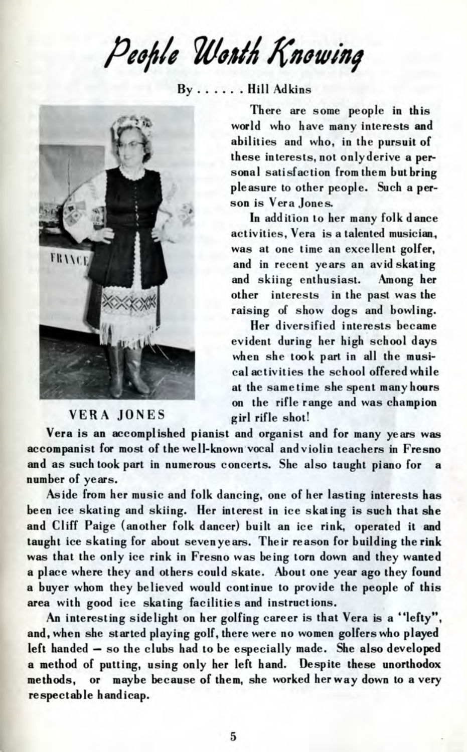People Worth Knowing

 $Bv$ ......Hill Adkins



## VERA JONES girl rifle shot!

There are some people in this world who have many interests and abilities and who, in the pursuit of these interests, not onlyderive a personal satisfaction from them but bring pleasure to other people. Such a person is Vera Jones.

In addition to her many folk dance activities, Vera is a talented musician., was at one time an excellent golfer. and in recent years an avid skating<br>and skiing enthusiast. Among her and skiing enthusiast. other interests in the past was the raising of show dogs and bowling.

Her diversified interests became evident during her high school days when she took part in all the musical activities the school offered while at the same time she spent many hours on the rifle range and was champion

Vera is an accomplished pianist and organist and for many years was accompanist for most of the well-known vocal and violin teachers in Fresno and as such took part in numerous concerts. She also taught piano for a number of years.

Aside from her music and folk dancing, one of her lasting interests has been ice skating and skiing. Her interest in ice skating is such that she and Cliff Paige (another folk dancer) built an ice rink, operated it and taught ice skating for about sevenyears. Their reason for building the rink was that the only ice rink in Fresno was being torn down and they wanted a place where they and others could skate. About one year ago they found a buyer whom they believed would continue to provide the people of this area with good ice skating facilities and instructions.

An interesting sidelight on her golfing career is that Vera is a \*'lefty", and, when she started playing golf, there were no women golfers who played left handed — so the clubs had to be especially made. She also developed a method of putting, using only her left hand. Despite these unorthodox methods, or maybe because of them, she worked her way down to a very respectable handicap.